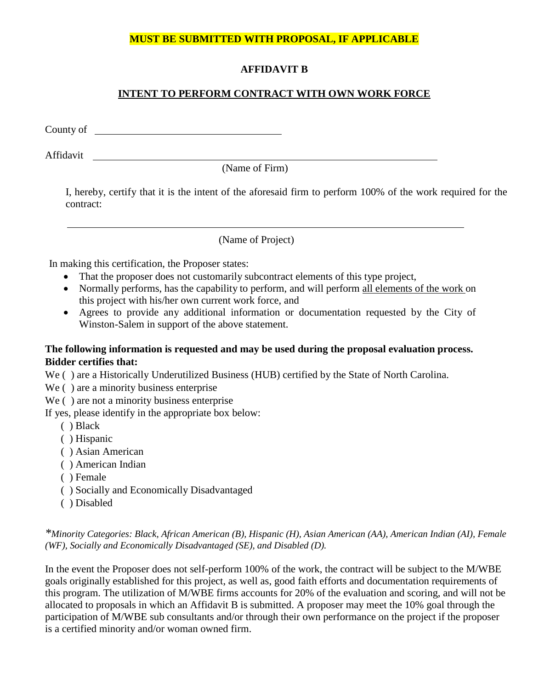#### **MUST BE SUBMITTED WITH PROPOSAL, IF APPLICABLE**

## **AFFIDAVIT B**

# **INTENT TO PERFORM CONTRACT WITH OWN WORK FORCE**

County of

Affidavit

(Name of Firm)

I, hereby, certify that it is the intent of the aforesaid firm to perform 100% of the work required for the contract:

(Name of Project)

In making this certification, the Proposer states:

- That the proposer does not customarily subcontract elements of this type project,
- Normally performs, has the capability to perform, and will perform all elements of the work on this project with his/her own current work force, and
- Agrees to provide any additional information or documentation requested by the City of Winston-Salem in support of the above statement.

### **The following information is requested and may be used during the proposal evaluation process. Bidder certifies that:**

We ( ) are a Historically Underutilized Business (HUB) certified by the State of North Carolina.

We () are a minority business enterprise

We ( ) are not a minority business enterprise

If yes, please identify in the appropriate box below:

- ( ) Black
- ( ) Hispanic
- ( ) Asian American
- ( ) American Indian
- ( ) Female
- ( ) Socially and Economically Disadvantaged
- ( ) Disabled

*\*Minority Categories: Black, African American (B), Hispanic (H), Asian American (AA), American Indian (AI), Female (WF), Socially and Economically Disadvantaged (SE), and Disabled (D).*

In the event the Proposer does not self-perform 100% of the work, the contract will be subject to the M/WBE goals originally established for this project, as well as, good faith efforts and documentation requirements of this program. The utilization of M/WBE firms accounts for 20% of the evaluation and scoring, and will not be allocated to proposals in which an Affidavit B is submitted. A proposer may meet the 10% goal through the participation of M/WBE sub consultants and/or through their own performance on the project if the proposer is a certified minority and/or woman owned firm.